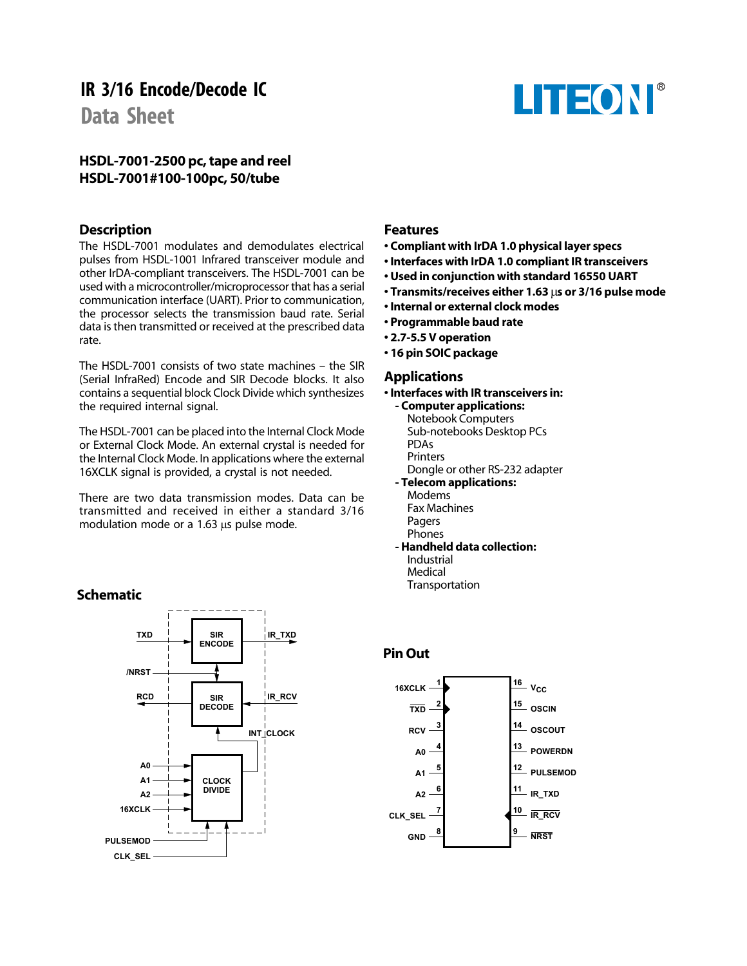# **IR 3/16 Encode/Decode IC**

**Data Sheet**



### **HSDL-7001-2500 pc,tape and reel HSDL-7001#100-100pc, 50/tube**

#### **Description**

The HSDL-7001 modulates and demodulates electrical pulses from HSDL-1001 Infrared transceiver module and other IrDA-compliant transceivers. The HSDL-7001 can be used with a microcontroller/microprocessor that has a serial communication interface (UART). Prior to communication, the processor selects the transmission baud rate. Serial data is then transmitted or received at the prescribed data rate.

The HSDL-7001 consists of two state machines – the SIR (Serial InfraRed) Encode and SIR Decode blocks. It also contains a sequential block Clock Divide which synthesizes the required internal signal.

The HSDL-7001 can be placed into the Internal Clock Mode or External Clock Mode. An external crystal is needed for the Internal Clock Mode. In applications where the external 16XCLK signal is provided, a crystal is not needed.

There are two data transmission modes. Data can be transmitted and received in either a standard 3/16 modulation mode or a 1.63 µs pulse mode.

#### **Schematic**



#### **Features**

- **Compliant with IrDA 1.0 physical layer specs**
- **Interfaces with IrDA 1.0 compliant IR transceivers**
- **• Used in conjunction with standard 16550 UART**
- **Transmits/receives either 1.63**µ**s or 3/16 pulse mode**
- **• Internal or external clock modes**
- **Programmable baud rate**
- **2.7-5.5 V operation**
- **16 pin SOIC package**

#### **Applications**

- **• Interfaces with IR transceivers in:**
	- **- Computer applications:** Notebook Computers Sub-notebooks Desktop PCs PDAs Printers Dongle or other RS-232 adapter
	- **Telecom applications:** Modems Fax Machines **Pagers Phones**
	- **Handheld data collection:** Industrial Medical **Transportation**

#### **Pin Out**

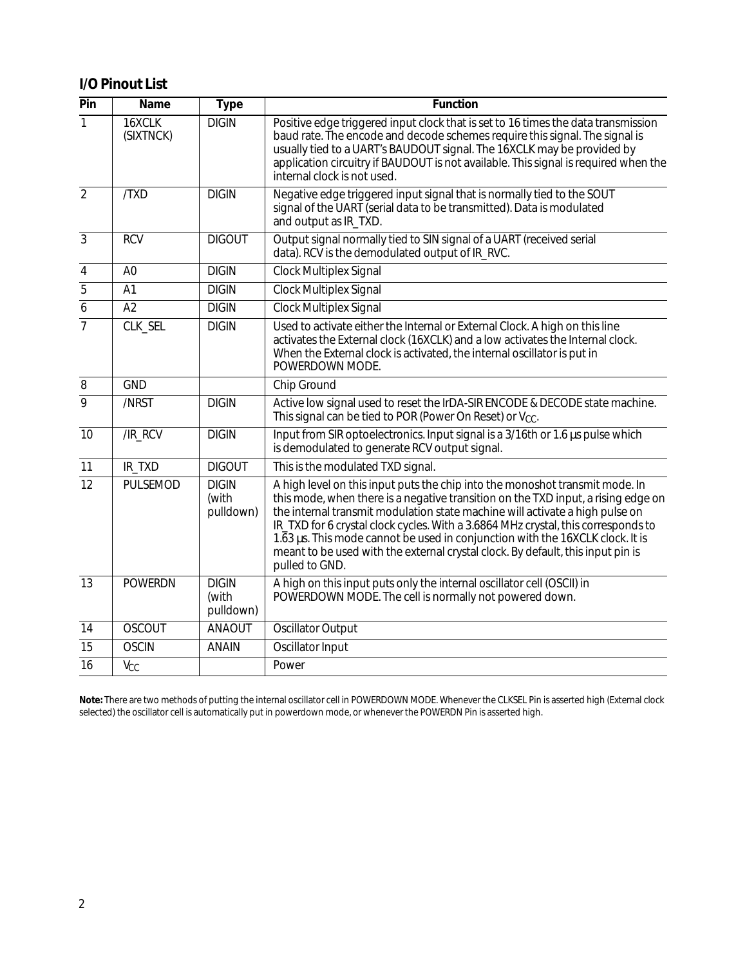# **I/O Pinout List**

| Pin             | <b>Name</b>         | <b>Type</b>                        | <b>Function</b>                                                                                                                                                                                                                                                                                                                                                                                                                                                                                                              |
|-----------------|---------------------|------------------------------------|------------------------------------------------------------------------------------------------------------------------------------------------------------------------------------------------------------------------------------------------------------------------------------------------------------------------------------------------------------------------------------------------------------------------------------------------------------------------------------------------------------------------------|
| $\overline{1}$  | 16XCLK<br>(SIXTNCK) | <b>DIGIN</b>                       | Positive edge triggered input clock that is set to 16 times the data transmission<br>baud rate. The encode and decode schemes require this signal. The signal is<br>usually tied to a UART's BAUDOUT signal. The 16XCLK may be provided by<br>application circuitry if BAUDOUT is not available. This signal is required when the<br>internal clock is not used.                                                                                                                                                             |
| $\overline{2}$  | /TXD                | <b>DIGIN</b>                       | Negative edge triggered input signal that is normally tied to the SOUT<br>signal of the UART (serial data to be transmitted). Data is modulated<br>and output as IR_TXD.                                                                                                                                                                                                                                                                                                                                                     |
| $\overline{3}$  | <b>RCV</b>          | <b>DIGOUT</b>                      | Output signal normally tied to SIN signal of a UART (received serial<br>data). RCV is the demodulated output of IR_RVC.                                                                                                                                                                                                                                                                                                                                                                                                      |
| $\overline{4}$  | A <sub>0</sub>      | <b>DIGIN</b>                       | <b>Clock Multiplex Signal</b>                                                                                                                                                                                                                                                                                                                                                                                                                                                                                                |
| $\overline{5}$  | A1                  | <b>DIGIN</b>                       | Clock Multiplex Signal                                                                                                                                                                                                                                                                                                                                                                                                                                                                                                       |
| $\overline{6}$  | A2                  | <b>DIGIN</b>                       | Clock Multiplex Signal                                                                                                                                                                                                                                                                                                                                                                                                                                                                                                       |
| $\overline{7}$  | CLK_SEL             | <b>DIGIN</b>                       | Used to activate either the Internal or External Clock. A high on this line<br>activates the External clock (16XCLK) and a low activates the Internal clock.<br>When the External clock is activated, the internal oscillator is put in<br>POWERDOWN MODE.                                                                                                                                                                                                                                                                   |
| 8               | <b>GND</b>          |                                    | Chip Ground                                                                                                                                                                                                                                                                                                                                                                                                                                                                                                                  |
| $\overline{9}$  | /NRST               | <b>DIGIN</b>                       | Active low signal used to reset the IrDA-SIR ENCODE & DECODE state machine.<br>This signal can be tied to POR (Power On Reset) or $V_{CC}$ .                                                                                                                                                                                                                                                                                                                                                                                 |
| 10              | /IR_RCV             | <b>DIGIN</b>                       | Input from SIR optoelectronics. Input signal is a 3/16th or 1.6 us pulse which<br>is demodulated to generate RCV output signal.                                                                                                                                                                                                                                                                                                                                                                                              |
| 11              | IR_TXD              | <b>DIGOUT</b>                      | This is the modulated TXD signal.                                                                                                                                                                                                                                                                                                                                                                                                                                                                                            |
| $\overline{12}$ | <b>PULSEMOD</b>     | <b>DIGIN</b><br>(with<br>pulldown) | A high level on this input puts the chip into the monoshot transmit mode. In<br>this mode, when there is a negative transition on the TXD input, a rising edge on<br>the internal transmit modulation state machine will activate a high pulse on<br>IR_TXD for 6 crystal clock cycles. With a 3.6864 MHz crystal, this corresponds to<br>1.63 µs. This mode cannot be used in conjunction with the 16XCLK clock. It is<br>meant to be used with the external crystal clock. By default, this input pin is<br>pulled to GND. |
| $\overline{13}$ | <b>POWERDN</b>      | <b>DIGIN</b><br>(with<br>pulldown) | A high on this input puts only the internal oscillator cell (OSCII) in<br>POWERDOWN MODE. The cell is normally not powered down.                                                                                                                                                                                                                                                                                                                                                                                             |
| 14              | <b>OSCOUT</b>       | <b>ANAOUT</b>                      | Oscillator Output                                                                                                                                                                                                                                                                                                                                                                                                                                                                                                            |
| 15              | <b>OSCIN</b>        | <b>ANAIN</b>                       | Oscillator Input                                                                                                                                                                                                                                                                                                                                                                                                                                                                                                             |
| 16              | V <sub>CC</sub>     |                                    | Power                                                                                                                                                                                                                                                                                                                                                                                                                                                                                                                        |

**Note:** There are two methods of putting the internal oscillator cell in POWERDOWN MODE. Whenever the CLKSEL Pin is asserted high (External clock selected) the oscillator cell is automatically put in powerdown mode, or whenever the POWERDN Pin is asserted high.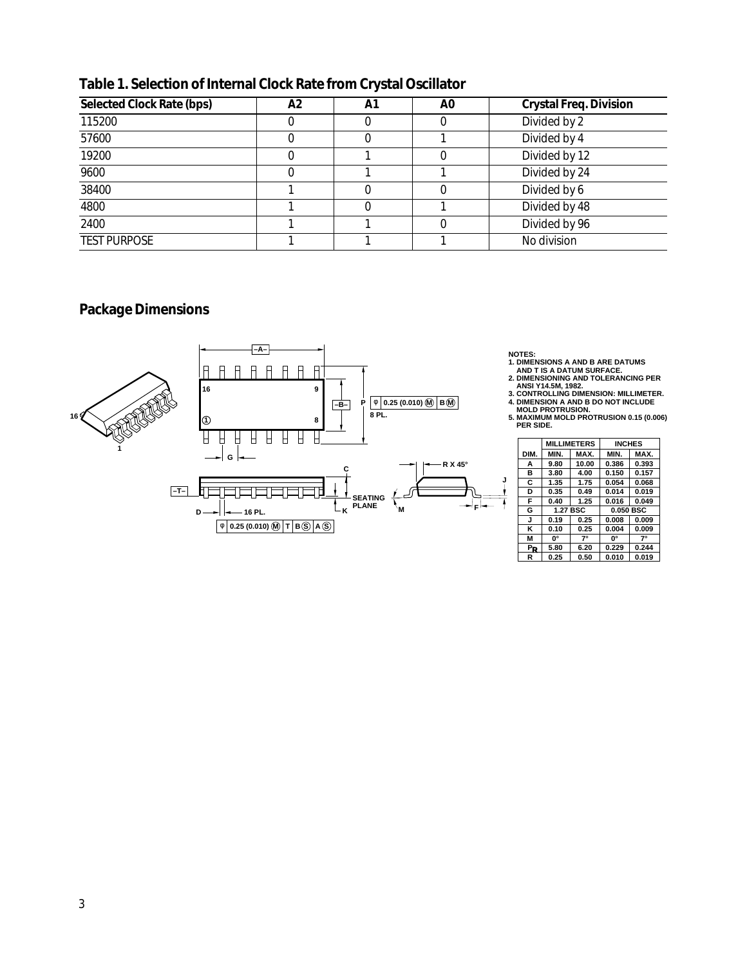| <b>Selected Clock Rate (bps)</b> | А2 | Α1 | A0 | <b>Crystal Freq. Division</b> |
|----------------------------------|----|----|----|-------------------------------|
| 115200                           |    |    | U  | Divided by 2                  |
| 57600                            |    |    |    | Divided by 4                  |
| 19200                            |    |    | 0  | Divided by 12                 |
| 9600                             |    |    |    | Divided by 24                 |
| 38400                            |    |    |    | Divided by 6                  |
| 4800                             |    |    |    | Divided by 48                 |
| 2400                             |    |    | 0  | Divided by 96                 |
| <b>TEST PURPOSE</b>              |    |    |    | No division                   |

# **Table 1. Selection of Internal Clock Rate from Crystal Oscillator**

# **Package Dimensions**



|      |                 | <b>MILLIMETERS</b> | <b>INCHES</b> |             |  |  |
|------|-----------------|--------------------|---------------|-------------|--|--|
| DIM. | MIN.            | MAX.               | MIN.          | MAX.        |  |  |
| A    | 9.80            | 10.00              | 0.386         | 0.393       |  |  |
| в    | 3.80            | 4.00               | 0.150         | 0.157       |  |  |
| c    | 1.35            | 1.75               | 0.054         | 0.068       |  |  |
| D    | 0.35            | 0.49               | 0.014         | 0.019       |  |  |
| F    | 0.40            | 1.25               | 0.016         | 0.049       |  |  |
| G    | <b>1.27 BSC</b> |                    | $0.050$ BSC   |             |  |  |
| J    | 0.19            | 0.25               | 0.008         | 0.009       |  |  |
| κ    | 0.10            | 0.25               | 0.004         | 0.009       |  |  |
| М    | ŋ۰              | 7°                 | ŋ۰            | $7^{\circ}$ |  |  |
| PR   | 5.80            | 6.20               | 0.229         | 0.244       |  |  |
| R    | 0.25            | 0.50               | 0.010         | 0.019       |  |  |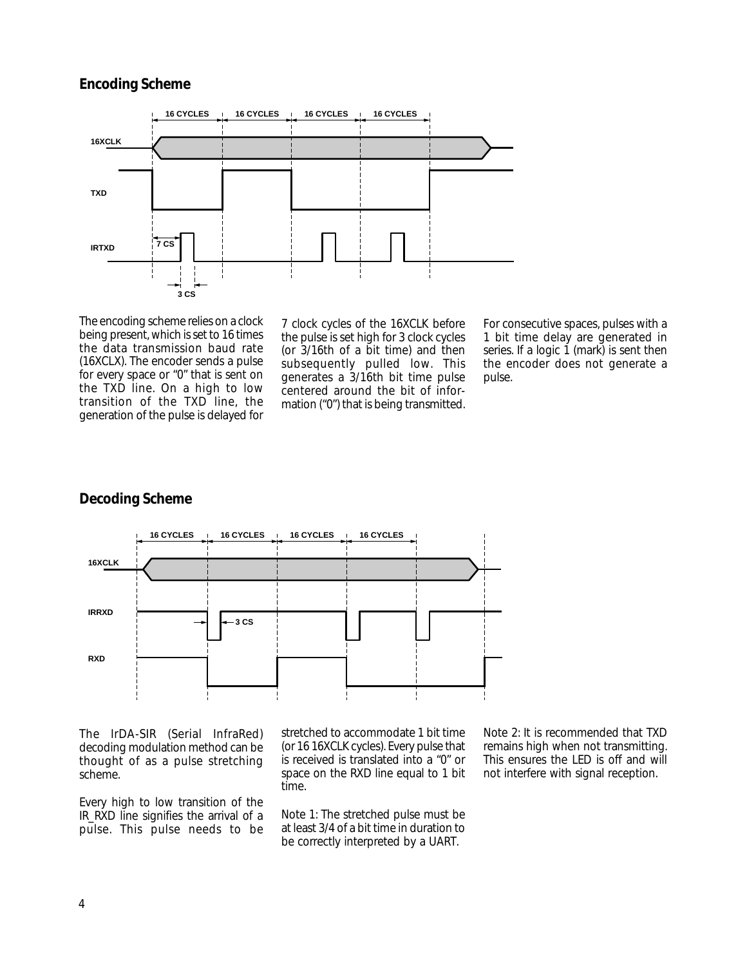## **Encoding Scheme**



The encoding scheme relies on a clock being present, which is set to 16 times the data transmission baud rate (16XCLX). The encoder sends a pulse for every space or "0" that is sent on the TXD line. On a high to low transition of the TXD line, the generation of the pulse is delayed for

7 clock cycles of the 16XCLK before the pulse is set high for 3 clock cycles (or 3/16th of a bit time) and then subsequently pulled low. This generates a 3/16th bit time pulse centered around the bit of information ("0") that is being transmitted. For consecutive spaces, pulses with a 1 bit time delay are generated in series. If a logic 1 (mark) is sent then the encoder does not generate a pulse.

## **Decoding Scheme**



The IrDA-SIR (Serial InfraRed) decoding modulation method can be thought of as a pulse stretching scheme.

Every high to low transition of the IR\_RXD line signifies the arrival of a pulse. This pulse needs to be stretched to accommodate 1 bit time (or 16 16XCLK cycles). Every pulse that is received is translated into a "0" or space on the RXD line equal to 1 bit time.

Note 1: The stretched pulse must be at least 3/4 of a bit time in duration to be correctly interpreted by a UART.

Note 2: It is recommended that TXD remains high when not transmitting. This ensures the LED is off and will not interfere with signal reception.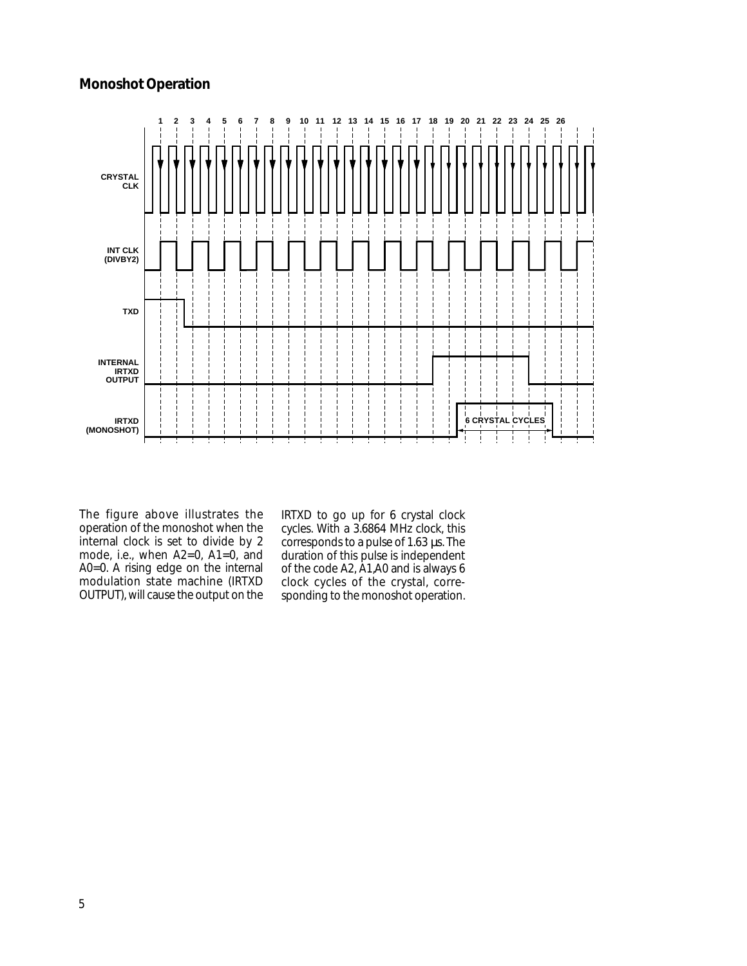# **Monoshot Operation**



The figure above illustrates the operation of the monoshot when the internal clock is set to divide by 2 mode, i.e., when A2=0, A1=0, and A0=0. A rising edge on the internal modulation state machine (IRTXD OUTPUT), will cause the output on the

IRTXD to go up for 6 crystal clock cycles. With a 3.6864 MHz clock, this corresponds to a pulse of 1.63 µs. The duration of this pulse is independent of the code A2, A1,A0 and is always 6 clock cycles of the crystal, corresponding to the monoshot operation.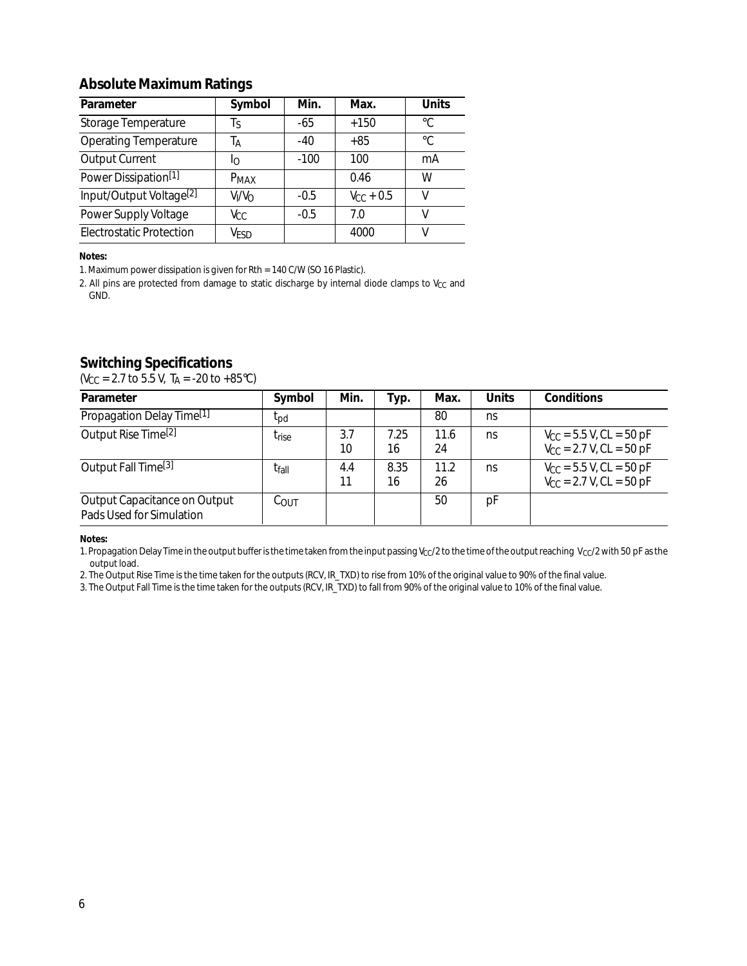# **Absolute Maximum Ratings**

| Parameter                           | Symbol                         | Min.   | Max.            | <b>Units</b> |
|-------------------------------------|--------------------------------|--------|-----------------|--------------|
| <b>Storage Temperature</b>          | Ιs                             | -65    | $+150$          | $^{\circ}C$  |
| <b>Operating Temperature</b>        | Тд                             | -40    | $+85$           | $^{\circ}C$  |
| <b>Output Current</b>               | IО                             | $-100$ | 100             | mA           |
| Power Dissipation[1]                | $P_{MAX}$                      |        | 0.46            | W            |
| Input/Output Voltage <sup>[2]</sup> | V <sub>I</sub> /V <sub>O</sub> | $-0.5$ | $V_{C,C}$ + 0.5 | v            |
| Power Supply Voltage                | V <sub>CC</sub>                | $-0.5$ | 7.0             | V            |
| <b>Electrostatic Protection</b>     | V <sub>ESD</sub>               |        | 4000            |              |

#### **Notes:**

1. Maximum power dissipation is given for Rth = 140 C/W (SO 16 Plastic).

2. All pins are protected from damage to static discharge by internal diode clamps to  $V_{CC}$  and GND.

## **Switching Specifications**

 $(V_{CC} = 2.7 \text{ to } 5.5 \text{ V}$ , T<sub>A</sub> = -20 to +85 °C)

| <b>Parameter</b>                                         | Symbol            | Min.      | Typ.       | Max.       | <b>Units</b> | <b>Conditions</b>                                                    |
|----------------------------------------------------------|-------------------|-----------|------------|------------|--------------|----------------------------------------------------------------------|
| Propagation Delay Time <sup>[1]</sup>                    | Ipd               |           |            | 80         | ns           |                                                                      |
| Output Rise Time <sup>[2]</sup>                          | t <sub>rise</sub> | 3.7<br>10 | 7.25<br>16 | 11.6<br>24 | ns           | $V_{\rm CC}$ = 5.5 V, CL = 50 pF<br>$V_{\rm CC}$ = 2.7 V, CL = 50 pF |
| Output Fall Time <sup>[3]</sup>                          | t <sub>fall</sub> | 4.4<br>11 | 8.35<br>16 | 11.2<br>26 | ns           | $V_{\rm CC}$ = 5.5 V, CL = 50 pF<br>$V_{\rm CC}$ = 2.7 V, CL = 50 pF |
| Output Capacitance on Output<br>Pads Used for Simulation | $C_{\text{OUT}}$  |           |            | 50         | pF           |                                                                      |

#### **Notes:**

1. Propagation Delay Time in the output buffer is the time taken from the input passing V<sub>CC</sub>/2 to the time of the output reaching V<sub>CC</sub>/2 with 50 pF as the output load.

2. The Output Rise Time is the time taken for the outputs (RCV, IR\_TXD) to rise from 10% of the original value to 90% of the final value.

3. The Output Fall Time is the time taken for the outputs (RCV, IR\_TXD) to fall from 90% of the original value to 10% of the final value.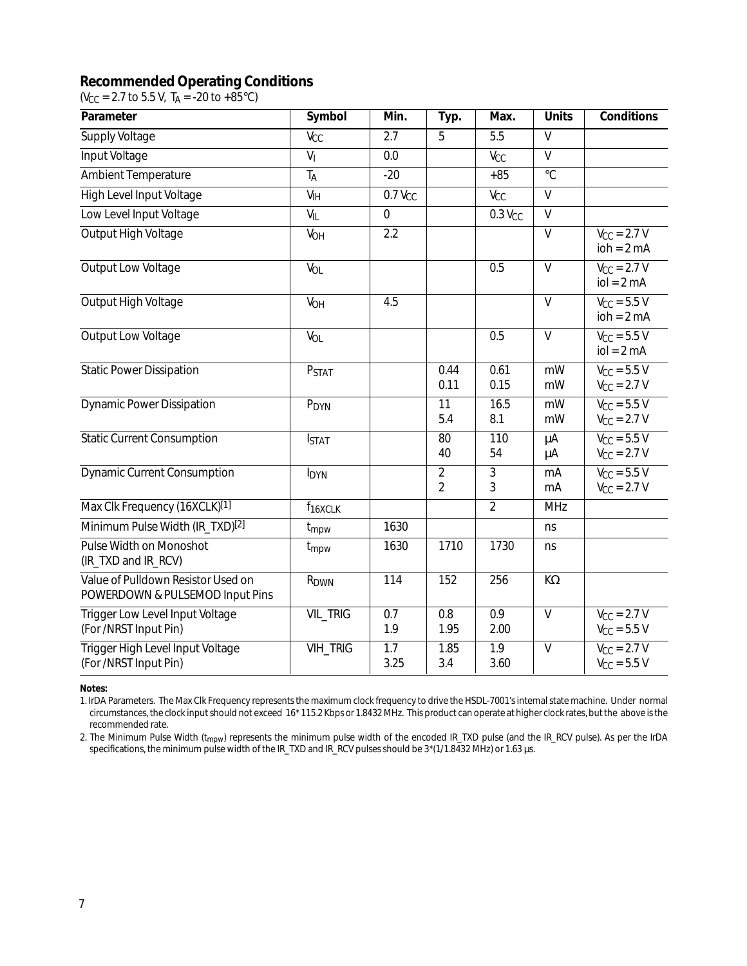## **Recommended Operating Conditions**

 $(V_{CC} = 2.7 \text{ to } 5.5 \text{ V}, T_A = -20 \text{ to } +85^{\circ} \text{C})$ 

| Parameter                                                             | Symbol                  | Min.                             | Typ.                             | Max.                  | <b>Units</b>   | <b>Conditions</b>                               |
|-----------------------------------------------------------------------|-------------------------|----------------------------------|----------------------------------|-----------------------|----------------|-------------------------------------------------|
| <b>Supply Voltage</b>                                                 | V <sub>CC</sub>         | $\overline{2.7}$                 | $\overline{5}$                   | $\overline{5.5}$      | $\overline{V}$ |                                                 |
| Input Voltage                                                         | $\overline{V_1}$        | 0.0                              |                                  | V <sub>CC</sub>       | $\overline{V}$ |                                                 |
| <b>Ambient Temperature</b>                                            | <b>TA</b>               | $-20$                            |                                  | $+85$                 | $\overline{C}$ |                                                 |
| <b>High Level Input Voltage</b>                                       | V <sub>IH</sub>         | $\overline{0.7}$ V <sub>CC</sub> |                                  | V <sub>CC</sub>       | $\overline{V}$ |                                                 |
| Low Level Input Voltage                                               | V <sub>IL</sub>         | $\mathbf 0$                      |                                  | $0.3$ V <sub>CC</sub> | $\mathsf{V}$   |                                                 |
| Output High Voltage                                                   | <b>VOH</b>              | 2.2                              |                                  |                       | $\overline{V}$ | $V_{CC} = 2.7 V$<br>$\text{ioh} = 2 \text{ mA}$ |
| Output Low Voltage                                                    | V <sub>OL</sub>         |                                  |                                  | 0.5                   | $\overline{V}$ | $V_{\text{CC}} = 2.7 \text{ V}$<br>$iol = 2 mA$ |
| Output High Voltage                                                   | <b>VOH</b>              | 4.5                              |                                  |                       | $\mathsf{V}$   | $V_{CC}$ = 5.5 V<br>$\text{ioh} = 2 \text{mA}$  |
| Output Low Voltage                                                    | <b>V<sub>OL</sub></b>   |                                  |                                  | 0.5                   | $\mathsf{V}$   | $V_{CC}$ = 5.5 V<br>$iol = 2 mA$                |
| <b>Static Power Dissipation</b>                                       | PSTAT                   |                                  | 0.44<br>0.11                     | 0.61<br>0.15          | mW<br>mW       | $V_{CC}$ = 5.5 V<br>$V_{CC} = 2.7 V$            |
| <b>Dynamic Power Dissipation</b>                                      | P <sub>DYN</sub>        |                                  | 11<br>5.4                        | 16.5<br>8.1           | mW<br>mW       | $V_{CC}$ = 5.5 V<br>$V_{CC} = 2.7 V$            |
| <b>Static Current Consumption</b>                                     | <b>I</b> STAT           |                                  | 80<br>40                         | 110<br>54             | μA<br>μA       | $V_{CC}$ = 5.5 V<br>$V_{CC} = 2.7 V$            |
| Dynamic Current Consumption                                           | <b>I</b> <sub>DYN</sub> |                                  | $\overline{2}$<br>$\overline{2}$ | 3<br>3                | mA<br>mA       | $V_{CC}$ = 5.5 V<br>$V_{CC} = 2.7 V$            |
| Max Clk Frequency (16XCLK)[1]                                         | f <sub>16</sub> xCLK    |                                  |                                  | $\overline{2}$        | <b>MHz</b>     |                                                 |
| Minimum Pulse Width (IR_TXD)[2]                                       | t <sub>mpw</sub>        | 1630                             |                                  |                       | ns             |                                                 |
| Pulse Width on Monoshot<br>(IR_TXD and IR_RCV)                        | t <sub>mpw</sub>        | 1630                             | 1710                             | 1730                  | ns             |                                                 |
| Value of Pulldown Resistor Used on<br>POWERDOWN & PULSEMOD Input Pins | R <sub>DWN</sub>        | 114                              | 152                              | 256                   | $K\Omega$      |                                                 |
| Trigger Low Level Input Voltage<br>(For /NRST Input Pin)              | <b>VIL_TRIG</b>         | 0.7<br>1.9                       | 0.8<br>1.95                      | 0.9<br>2.00           | $\overline{V}$ | $V_{CC} = 2.7 V$<br>$V_{CC}$ = 5.5 V            |
| Trigger High Level Input Voltage<br>(For /NRST Input Pin)             | <b>VIH_TRIG</b>         | 1.7<br>3.25                      | 1.85<br>3.4                      | 1.9<br>3.60           | $\overline{V}$ | $V_{CC} = 2.7 V$<br>$V_{CC}$ = 5.5 V            |

**Notes:**

1. IrDA Parameters. The Max Clk Frequency represents the maximum clock frequency to drive the HSDL-7001's internal state machine. Under normal circumstances, the clock input should not exceed 16\* 115.2 Kbps or 1.8432 MHz. This product can operate at higher clock rates, but the above is the recommended rate.

2. The Minimum Pulse Width (t<sub>mpw</sub>) represents the minimum pulse width of the encoded IR\_TXD pulse (and the IR\_RCV pulse). As per the IrDA specifications, the minimum pulse width of the IR\_TXD and IR\_RCV pulses should be 3\*(1/1.8432 MHz) or 1.63 µs.